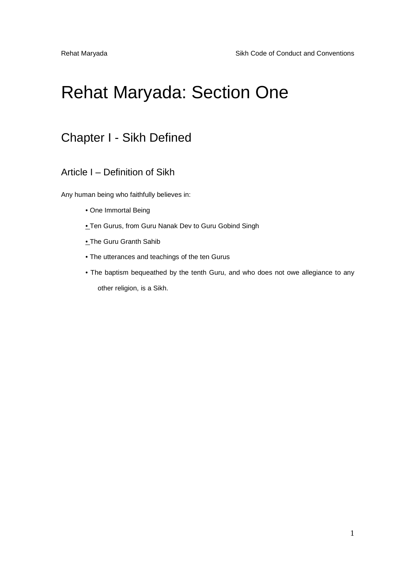# Rehat Maryada: Section One

### Chapter I - Sikh Defined

#### Article I – Definition of Sikh

Any human being who faithfully believes in:

- One Immortal Being
- Ten Gurus, from Guru Nanak Dev to Guru Gobind Singh
- The Guru Granth Sahib
- The utterances and teachings of the ten Gurus
- The baptism bequeathed by the tenth Guru, and who does not owe allegiance to any other religion, is a Sikh.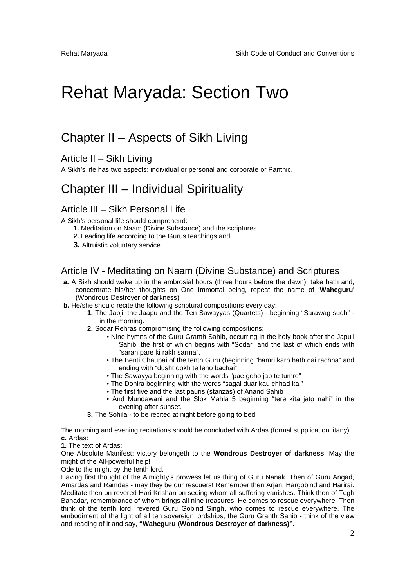# Rehat Maryada: Section Two

### Chapter II – Aspects of Sikh Living

Article II – Sikh Living

A Sikh's life has two aspects: individual or personal and corporate or Panthic.

### Chapter III – Individual Spirituality

#### Article III – Sikh Personal Life

A Sikh's personal life should comprehend:

- **1.** Meditation on Naam (Divine Substance) and the scriptures
- **2.** Leading life according to the Gurus teachings and
- **3.** Altruistic voluntary service.

#### Article IV - Meditating on Naam (Divine Substance) and Scriptures

- **a.** A Sikh should wake up in the ambrosial hours (three hours before the dawn), take bath and, concentrate his/her thoughts on One Immortal being, repeat the name of '**Waheguru**' (Wondrous Destroyer of darkness).
- **b.** He/she should recite the following scriptural compositions every day:
	- **1.** The Japji, the Jaapu and the Ten Sawayyas (Quartets) beginning "Sarawag sudh" in the morning.
	- **2.** Sodar Rehras compromising the following compositions:
		- Nine hymns of the Guru Granth Sahib, occurring in the holy book after the Japuji Sahib, the first of which begins with "Sodar" and the last of which ends with "saran pare ki rakh sarma".
		- The Benti Chaupai of the tenth Guru (beginning "hamri karo hath dai rachha" and ending with "dusht dokh te leho bachai"
		- The Sawayya beginning with the words "pae geho jab te tumre"
		- The Dohira beginning with the words "sagal duar kau chhad kai"
		- The first five and the last pauris (stanzas) of Anand Sahib
		- And Mundawani and the Slok Mahla 5 beginning "tere kita jato nahi" in the evening after sunset.
	- **3.** The Sohila to be recited at night before going to bed

The morning and evening recitations should be concluded with Ardas (formal supplication litany). **c.** Ardas:

**1.** The text of Ardas:

One Absolute Manifest; victory belongeth to the **Wondrous Destroyer of darkness**. May the might of the All-powerful help!

Ode to the might by the tenth lord.

Having first thought of the Almighty's prowess let us thing of Guru Nanak. Then of Guru Angad, Amardas and Ramdas - may they be our rescuers! Remember then Arjan, Hargobind and Harirai. Meditate then on revered Hari Krishan on seeing whom all suffering vanishes. Think then of Tegh Bahadar, remembrance of whom brings all nine treasures. He comes to rescue everywhere. Then think of the tenth lord, revered Guru Gobind Singh, who comes to rescue everywhere. The embodiment of the light of all ten sovereign lordships, the Guru Granth Sahib - think of the view and reading of it and say, **"Waheguru (Wondrous Destroyer of darkness)".**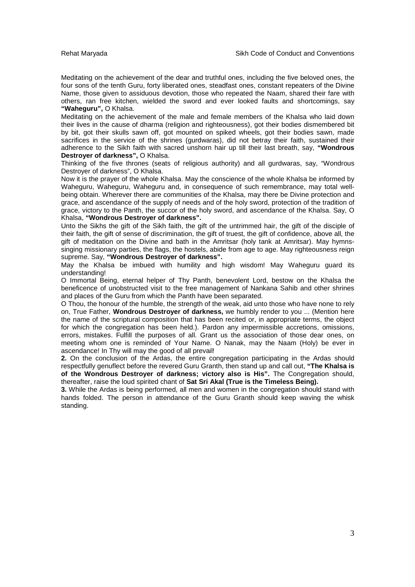Meditating on the achievement of the dear and truthful ones, including the five beloved ones, the four sons of the tenth Guru, forty liberated ones, steadfast ones, constant repeaters of the Divine Name, those given to assiduous devotion, those who repeated the Naam, shared their fare with others, ran free kitchen, wielded the sword and ever looked faults and shortcomings, say **"Waheguru",** O Khalsa.

Meditating on the achievement of the male and female members of the Khalsa who laid down their lives in the cause of dharma (religion and righteousness), got their bodies dismembered bit by bit, got their skulls sawn off, got mounted on spiked wheels, got their bodies sawn, made sacrifices in the service of the shrines (gurdwaras), did not betray their faith, sustained their adherence to the Sikh faith with sacred unshorn hair up till their last breath, say, **"Wondrous Destroyer of darkness",** O Khalsa.

Thinking of the five thrones (seats of religious authority) and all gurdwaras, say, "Wondrous Destroyer of darkness", O Khalsa.

Now it is the prayer of the whole Khalsa. May the conscience of the whole Khalsa be informed by Waheguru, Waheguru, Waheguru and, in consequence of such remembrance, may total wellbeing obtain. Wherever there are communities of the Khalsa, may there be Divine protection and grace, and ascendance of the supply of needs and of the holy sword, protection of the tradition of grace, victory to the Panth, the succor of the holy sword, and ascendance of the Khalsa. Say, O Khalsa, **"Wondrous Destroyer of darkness".** 

Unto the Sikhs the gift of the Sikh faith, the gift of the untrimmed hair, the gift of the disciple of their faith, the gift of sense of discrimination, the gift of truest, the gift of confidence, above all, the gift of meditation on the Divine and bath in the Amritsar (holy tank at Amritsar). May hymnssinging missionary parties, the flags, the hostels, abide from age to age. May righteousness reign supreme. Say, **"Wondrous Destroyer of darkness".** 

May the Khalsa be imbued with humility and high wisdom! May Waheguru guard its understanding!

O Immortal Being, eternal helper of Thy Panth, benevolent Lord, bestow on the Khalsa the beneficence of unobstructed visit to the free management of Nankana Sahib and other shrines and places of the Guru from which the Panth have been separated.

O Thou, the honour of the humble, the strength of the weak, aid unto those who have none to rely on, True Father, **Wondrous Destroyer of darkness,** we humbly render to you ... (Mention here the name of the scriptural composition that has been recited or, in appropriate terms, the object for which the congregation has been held.). Pardon any impermissible accretions, omissions, errors, mistakes. Fulfill the purposes of all. Grant us the association of those dear ones, on meeting whom one is reminded of Your Name. O Nanak, may the Naam (Holy) be ever in ascendance! In Thy will may the good of all prevail!

**2.** On the conclusion of the Ardas, the entire congregation participating in the Ardas should respectfully genuflect before the revered Guru Granth, then stand up and call out, **"The Khalsa is of the Wondrous Destroyer of darkness; victory also is His".** The Congregation should, thereafter, raise the loud spirited chant of **Sat Sri Akal (True is the Timeless Being).** 

**3.** While the Ardas is being performed, all men and women in the congregation should stand with hands folded. The person in attendance of the Guru Granth should keep waving the whisk standing.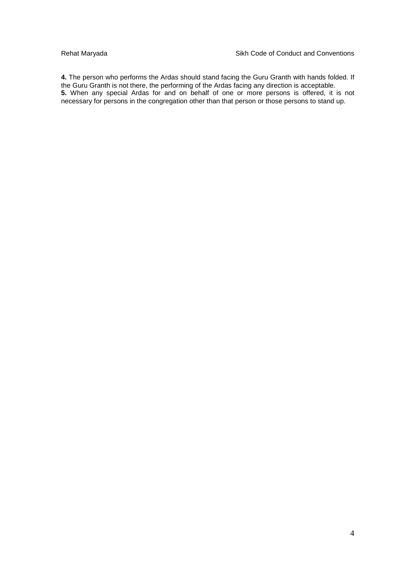**4.** The person who performs the Ardas should stand facing the Guru Granth with hands folded. If the Guru Granth is not there, the performing of the Ardas facing any direction is acceptable. **5.** When any special Ardas for and on behalf of one or more persons is offered, it is not necessary for persons in the congregation other than that person or those persons to stand up.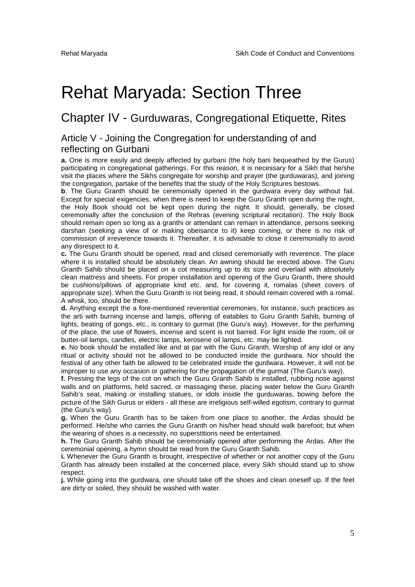# Rehat Maryada: Section Three

### Chapter IV - Gurduwaras, Congregational Etiquette, Rites

#### Article V - Joining the Congregation for understanding of and reflecting on Gurbani

**a.** One is more easily and deeply affected by gurbani (the holy bani bequeathed by the Gurus) participating in congregational gatherings. For this reason, it is necessary for a Sikh that he/she visit the places where the Sikhs congregate for worship and prayer (the gurduwaras), and joining the congregation, partake of the benefits that the study of the Holy Scriptures bestows.

**b**. The Guru Granth should be ceremonially opened in the gurdwara every day without fail. Except for special exigencies, when there is need to keep the Guru Granth open during the night, the Holy Book should not be kept open during the night. It should, generally, be closed ceremonially after the conclusion of the Rehras (evening scriptural recitation). The Holy Book should remain open so long as a granthi or attendant can remain in attendance, persons seeking darshan (seeking a view of or making obeisance to it) keep coming, or there is no risk of commission of irreverence towards it. Thereafter, it is advisable to close it ceremonially to avoid any disrespect to it.

**c.** The Guru Granth should be opened, read and closed ceremonially with reverence. The place where it is installed should be absolutely clean. An awning should be erected above. The Guru Granth Sahib should be placed on a cot measuring up to its size and overlaid with absolutely clean mattress and sheets. For proper installation and opening of the Guru Granth, there should be cushions/pillows of appropriate kind etc. and, for covering it, romalas (sheet covers of appropriate size). When the Guru Granth is not being read, it should remain covered with a romal. A whisk, too, should be there.

**d.** Anything except the a fore-mentioned reverential ceremonies, for instance, such practices as the arti with burning incense and lamps, offering of eatables to Guru Granth Sahib, burning of lights, beating of gongs, etc., is contrary to gurmat (the Guru's way). However, for the perfuming of the place, the use of flowers, incense and scent is not barred. For light inside the room, oil or butter-oil lamps, candles, electric lamps, kerosene oil lamps, etc. may be lighted.

**e.** No book should be installed like and at par with the Guru Granth. Worship of any idol or any ritual or activity should not be allowed to be conducted inside the gurdwara. Nor should the festival of any other faith be allowed to be celebrated inside the gurdwara. However, it will not be improper to use any occasion or gathering for the propagation of the gurmat (The Guru's way).

**f.** Pressing the legs of the cot on which the Guru Granth Sahib is installed, rubbing nose against walls and on platforms, held sacred, or massaging these, placing water below the Guru Granth Sahib's seat, making or installing statues, or idols inside the gurduwaras, bowing before the picture of the Sikh Gurus or elders - all these are irreligious self-willed egotism, contrary to gurmat (the Guru's way).

**g.** When the Guru Granth has to be taken from one place to another, the Ardas should be performed. He/she who carries the Guru Granth on his/her head should walk barefoot; but when the wearing of shoes is a necessity, no superstitions need be entertained.

**h.** The Guru Granth Sahib should be ceremonially opened after performing the Ardas. After the ceremonial opening, a hymn should be read from the Guru Granth Sahib.

**i.** Whenever the Guru Granth is brought, irrespective of whether or not another copy of the Guru Granth has already been installed at the concerned place, every Sikh should stand up to show respect.

**j.** While going into the gurdwara, one should take off the shoes and clean oneself up. If the feet are dirty or soiled, they should be washed with water.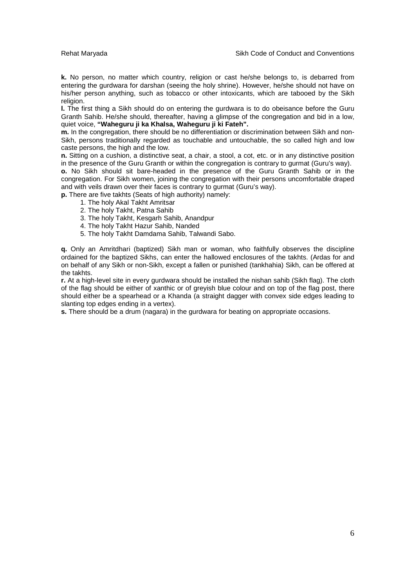**k.** No person, no matter which country, religion or cast he/she belongs to, is debarred from entering the gurdwara for darshan (seeing the holy shrine). However, he/she should not have on his/her person anything, such as tobacco or other intoxicants, which are tabooed by the Sikh religion.

**l.** The first thing a Sikh should do on entering the gurdwara is to do obeisance before the Guru Granth Sahib. He/she should, thereafter, having a glimpse of the congregation and bid in a low, quiet voice, **"Waheguru ji ka Khalsa, Waheguru ji ki Fateh".** 

**m.** In the congregation, there should be no differentiation or discrimination between Sikh and non-Sikh, persons traditionally regarded as touchable and untouchable, the so called high and low caste persons, the high and the low.

**n.** Sitting on a cushion, a distinctive seat, a chair, a stool, a cot, etc. or in any distinctive position in the presence of the Guru Granth or within the congregation is contrary to gurmat (Guru's way).

**o.** No Sikh should sit bare-headed in the presence of the Guru Granth Sahib or in the congregation. For Sikh women, joining the congregation with their persons uncomfortable draped and with veils drawn over their faces is contrary to gurmat (Guru's way).

**p.** There are five takhts (Seats of high authority) namely:

- 1. The holy Akal Takht Amritsar
- 2. The holy Takht, Patna Sahib
- 3. The holy Takht, Kesgarh Sahib, Anandpur
- 4. The holy Takht Hazur Sahib, Nanded
- 5. The holy Takht Damdama Sahib, Talwandi Sabo.

**q.** Only an Amritdhari (baptized) Sikh man or woman, who faithfully observes the discipline ordained for the baptized Sikhs, can enter the hallowed enclosures of the takhts. (Ardas for and on behalf of any Sikh or non-Sikh, except a fallen or punished (tankhahia) Sikh, can be offered at the takhts.

**r.** At a high-level site in every gurdwara should be installed the nishan sahib (Sikh flag). The cloth of the flag should be either of xanthic or of greyish blue colour and on top of the flag post, there should either be a spearhead or a Khanda (a straight dagger with convex side edges leading to slanting top edges ending in a vertex).

**s.** There should be a drum (nagara) in the gurdwara for beating on appropriate occasions.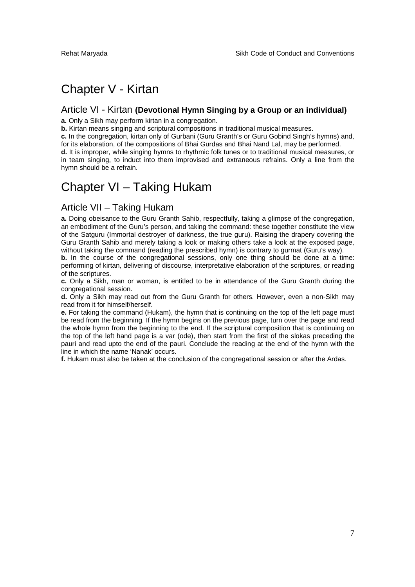### Chapter V - Kirtan

#### Article VI - Kirtan **(Devotional Hymn Singing by a Group or an individual)**

**a.** Only a Sikh may perform kirtan in a congregation.

**b.** Kirtan means singing and scriptural compositions in traditional musical measures.

**c.** In the congregation, kirtan only of Gurbani (Guru Granth's or Guru Gobind Singh's hymns) and, for its elaboration, of the compositions of Bhai Gurdas and Bhai Nand Lal, may be performed.

**d.** It is improper, while singing hymns to rhythmic folk tunes or to traditional musical measures, or in team singing, to induct into them improvised and extraneous refrains. Only a line from the hymn should be a refrain.

### Chapter VI – Taking Hukam

#### Article VII – Taking Hukam

**a.** Doing obeisance to the Guru Granth Sahib, respectfully, taking a glimpse of the congregation, an embodiment of the Guru's person, and taking the command: these together constitute the view of the Satguru (Immortal destroyer of darkness, the true guru). Raising the drapery covering the Guru Granth Sahib and merely taking a look or making others take a look at the exposed page, without taking the command (reading the prescribed hymn) is contrary to gurmat (Guru's way).

**b.** In the course of the congregational sessions, only one thing should be done at a time: performing of kirtan, delivering of discourse, interpretative elaboration of the scriptures, or reading of the scriptures.

**c.** Only a Sikh, man or woman, is entitled to be in attendance of the Guru Granth during the congregational session.

**d.** Only a Sikh may read out from the Guru Granth for others. However, even a non-Sikh may read from it for himself/herself.

**e.** For taking the command (Hukam), the hymn that is continuing on the top of the left page must be read from the beginning. If the hymn begins on the previous page, turn over the page and read the whole hymn from the beginning to the end. If the scriptural composition that is continuing on the top of the left hand page is a var (ode), then start from the first of the slokas preceding the pauri and read upto the end of the pauri. Conclude the reading at the end of the hymn with the line in which the name 'Nanak' occurs.

**f.** Hukam must also be taken at the conclusion of the congregational session or after the Ardas.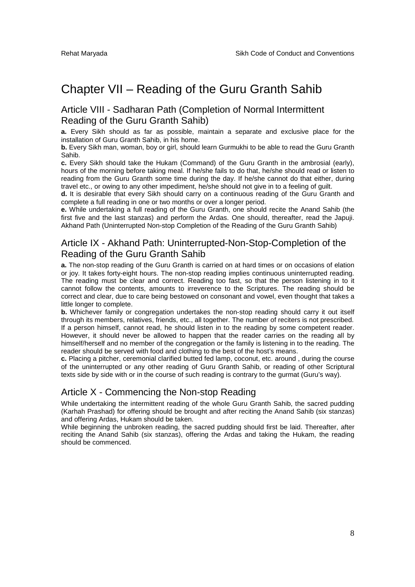### Chapter VII – Reading of the Guru Granth Sahib

#### Article VIII - Sadharan Path (Completion of Normal Intermittent Reading of the Guru Granth Sahib)

**a.** Every Sikh should as far as possible, maintain a separate and exclusive place for the installation of Guru Granth Sahib, in his home.

**b.** Every Sikh man, woman, boy or girl, should learn Gurmukhi to be able to read the Guru Granth Sahib.

**c.** Every Sikh should take the Hukam (Command) of the Guru Granth in the ambrosial (early), hours of the morning before taking meal. If he/she fails to do that, he/she should read or listen to reading from the Guru Granth some time during the day. If he/she cannot do that either, during travel etc., or owing to any other impediment, he/she should not give in to a feeling of guilt.

**d.** It is desirable that every Sikh should carry on a continuous reading of the Guru Granth and complete a full reading in one or two months or over a longer period.

**e.** While undertaking a full reading of the Guru Granth, one should recite the Anand Sahib (the first five and the last stanzas) and perform the Ardas. One should, thereafter, read the Japuji. Akhand Path (Uninterrupted Non-stop Completion of the Reading of the Guru Granth Sahib)

#### Article IX - Akhand Path: Uninterrupted-Non-Stop-Completion of the Reading of the Guru Granth Sahib

**a.** The non-stop reading of the Guru Granth is carried on at hard times or on occasions of elation or joy. It takes forty-eight hours. The non-stop reading implies continuous uninterrupted reading. The reading must be clear and correct. Reading too fast, so that the person listening in to it cannot follow the contents, amounts to irreverence to the Scriptures. The reading should be correct and clear, due to care being bestowed on consonant and vowel, even thought that takes a little longer to complete.

**b.** Whichever family or congregation undertakes the non-stop reading should carry it out itself through its members, relatives, friends, etc., all together. The number of reciters is not prescribed. If a person himself, cannot read, he should listen in to the reading by some competent reader. However, it should never be allowed to happen that the reader carries on the reading all by himself/herself and no member of the congregation or the family is listening in to the reading. The reader should be served with food and clothing to the best of the host's means.

**c.** Placing a pitcher, ceremonial clarified butted fed lamp, coconut, etc. around , during the course of the uninterrupted or any other reading of Guru Granth Sahib, or reading of other Scriptural texts side by side with or in the course of such reading is contrary to the gurmat (Guru's way).

#### Article X - Commencing the Non-stop Reading

While undertaking the intermittent reading of the whole Guru Granth Sahib, the sacred pudding (Karhah Prashad) for offering should be brought and after reciting the Anand Sahib (six stanzas) and offering Ardas, Hukam should be taken.

While beginning the unbroken reading, the sacred pudding should first be laid. Thereafter, after reciting the Anand Sahib (six stanzas), offering the Ardas and taking the Hukam, the reading should be commenced.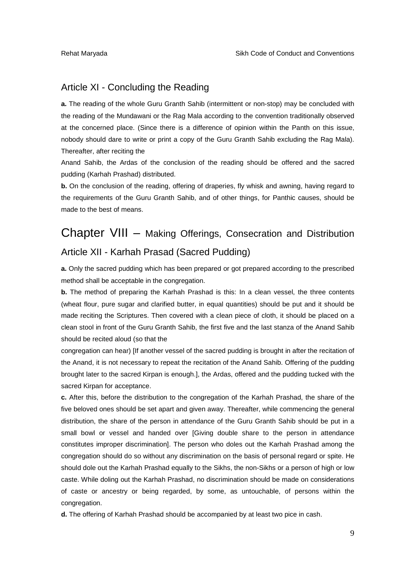#### Article XI - Concluding the Reading

**a.** The reading of the whole Guru Granth Sahib (intermittent or non-stop) may be concluded with the reading of the Mundawani or the Rag Mala according to the convention traditionally observed at the concerned place. (Since there is a difference of opinion within the Panth on this issue, nobody should dare to write or print a copy of the Guru Granth Sahib excluding the Rag Mala). Thereafter, after reciting the

Anand Sahib, the Ardas of the conclusion of the reading should be offered and the sacred pudding (Karhah Prashad) distributed.

**b.** On the conclusion of the reading, offering of draperies, fly whisk and awning, having regard to the requirements of the Guru Granth Sahib, and of other things, for Panthic causes, should be made to the best of means.

## Chapter VIII – Making Offerings, Consecration and Distribution Article XII - Karhah Prasad (Sacred Pudding)

**a.** Only the sacred pudding which has been prepared or got prepared according to the prescribed method shall be acceptable in the congregation.

**b.** The method of preparing the Karhah Prashad is this: In a clean vessel, the three contents (wheat flour, pure sugar and clarified butter, in equal quantities) should be put and it should be made reciting the Scriptures. Then covered with a clean piece of cloth, it should be placed on a clean stool in front of the Guru Granth Sahib, the first five and the last stanza of the Anand Sahib should be recited aloud (so that the

congregation can hear) [If another vessel of the sacred pudding is brought in after the recitation of the Anand, it is not necessary to repeat the recitation of the Anand Sahib. Offering of the pudding brought later to the sacred Kirpan is enough.], the Ardas, offered and the pudding tucked with the sacred Kirpan for acceptance.

**c.** After this, before the distribution to the congregation of the Karhah Prashad, the share of the five beloved ones should be set apart and given away. Thereafter, while commencing the general distribution, the share of the person in attendance of the Guru Granth Sahib should be put in a small bowl or vessel and handed over [Giving double share to the person in attendance constitutes improper discrimination]. The person who doles out the Karhah Prashad among the congregation should do so without any discrimination on the basis of personal regard or spite. He should dole out the Karhah Prashad equally to the Sikhs, the non-Sikhs or a person of high or low caste. While doling out the Karhah Prashad, no discrimination should be made on considerations of caste or ancestry or being regarded, by some, as untouchable, of persons within the congregation.

**d.** The offering of Karhah Prashad should be accompanied by at least two pice in cash.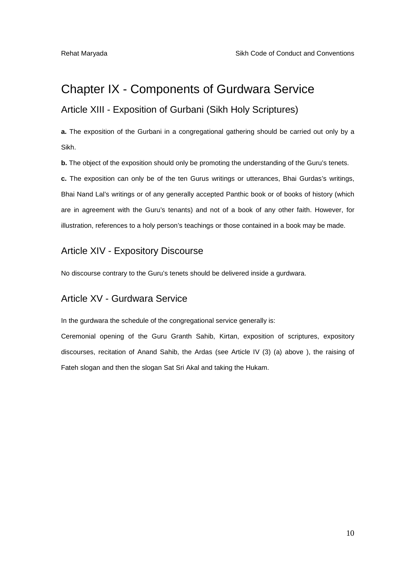### Chapter IX - Components of Gurdwara Service

#### Article XIII - Exposition of Gurbani (Sikh Holy Scriptures)

**a.** The exposition of the Gurbani in a congregational gathering should be carried out only by a Sikh.

**b.** The object of the exposition should only be promoting the understanding of the Guru's tenets.

**c.** The exposition can only be of the ten Gurus writings or utterances, Bhai Gurdas's writings, Bhai Nand Lal's writings or of any generally accepted Panthic book or of books of history (which are in agreement with the Guru's tenants) and not of a book of any other faith. However, for illustration, references to a holy person's teachings or those contained in a book may be made.

#### Article XIV - Expository Discourse

No discourse contrary to the Guru's tenets should be delivered inside a gurdwara.

#### Article XV - Gurdwara Service

In the gurdwara the schedule of the congregational service generally is:

Ceremonial opening of the Guru Granth Sahib, Kirtan, exposition of scriptures, expository discourses, recitation of Anand Sahib, the Ardas (see Article IV (3) (a) above ), the raising of Fateh slogan and then the slogan Sat Sri Akal and taking the Hukam.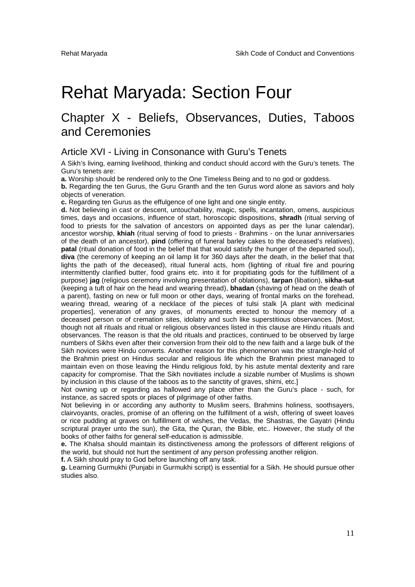# Rehat Maryada: Section Four

### Chapter X - Beliefs, Observances, Duties, Taboos and Ceremonies

#### Article XVI - Living in Consonance with Guru's Tenets

A Sikh's living, earning livelihood, thinking and conduct should accord with the Guru's tenets. The Guru's tenets are:

**a.** Worship should be rendered only to the One Timeless Being and to no god or goddess.

**b.** Regarding the ten Gurus, the Guru Granth and the ten Gurus word alone as saviors and holy objects of veneration.

**c.** Regarding ten Gurus as the effulgence of one light and one single entity.

**d.** Not believing in cast or descent, untouchability, magic, spells, incantation, omens, auspicious times, days and occasions, influence of start, horoscopic dispositions, **shradh** (ritual serving of food to priests for the salvation of ancestors on appointed days as per the lunar calendar), ancestor worship, **khiah** (ritual serving of food to priests - Brahmins - on the lunar anniversaries of the death of an ancestor), **pind** (offering of funeral barley cakes to the deceased's relatives), **patal** (ritual donation of food in the belief that that would satisfy the hunger of the departed soul), **diva** (the ceremony of keeping an oil lamp lit for 360 days after the death, in the belief that that lights the path of the deceased), ritual funeral acts, hom (lighting of ritual fire and pouring intermittently clarified butter, food grains etc. into it for propitiating gods for the fulfillment of a purpose) **jag** (religious ceremony involving presentation of oblations), **tarpan** (libation), **sikha-sut**  (keeping a tuft of hair on the head and wearing thread), **bhadan** (shaving of head on the death of a parent), fasting on new or full moon or other days, wearing of frontal marks on the forehead, wearing thread, wearing of a necklace of the pieces of tulsi stalk [A plant with medicinal properties], veneration of any graves, of monuments erected to honour the memory of a deceased person or of cremation sites, idolatry and such like superstitious observances. [Most, though not all rituals and ritual or religious observances listed in this clause are Hindu rituals and observances. The reason is that the old rituals and practices, continued to be observed by large numbers of Sikhs even after their conversion from their old to the new faith and a large bulk of the Sikh novices were Hindu converts. Another reason for this phenomenon was the strangle-hold of the Brahmin priest on Hindus secular and religious life which the Brahmin priest managed to maintain even on those leaving the Hindu religious fold, by his astute mental dexterity and rare capacity for compromise. That the Sikh novitiates include a sizable number of Muslims is shown by inclusion in this clause of the taboos as to the sanctity of graves, shirni, etc.]

Not owning up or regarding as hallowed any place other than the Guru's place - such, for instance, as sacred spots or places of pilgrimage of other faiths.

Not believing in or according any authority to Muslim seers, Brahmins holiness, soothsayers, clairvoyants, oracles, promise of an offering on the fulfillment of a wish, offering of sweet loaves or rice pudding at graves on fulfillment of wishes, the Vedas, the Shastras, the Gayatri (Hindu scriptural prayer unto the sun), the Gita, the Quran, the Bible, etc.. However, the study of the books of other faiths for general self-education is admissible.

**e.** The Khalsa should maintain its distinctiveness among the professors of different religions of the world, but should not hurt the sentiment of any person professing another religion.

**f.** A Sikh should pray to God before launching off any task.

**g.** Learning Gurmukhi (Punjabi in Gurmukhi script) is essential for a Sikh. He should pursue other studies also.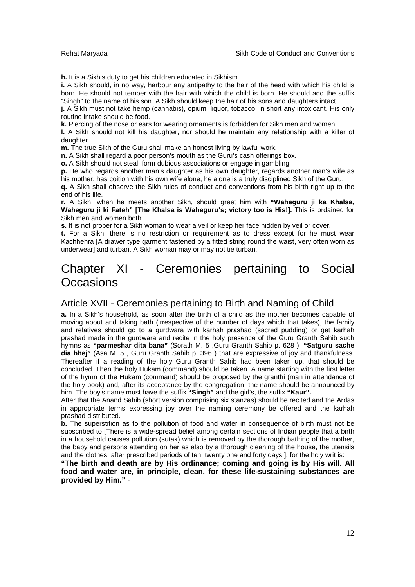**h.** It is a Sikh's duty to get his children educated in Sikhism.

**i.** A Sikh should, in no way, harbour any antipathy to the hair of the head with which his child is born. He should not temper with the hair with which the child is born. He should add the suffix "Singh" to the name of his son. A Sikh should keep the hair of his sons and daughters intact.

**j.** A Sikh must not take hemp (cannabis), opium, liquor, tobacco, in short any intoxicant. His only routine intake should be food.

**k.** Piercing of the nose or ears for wearing ornaments is forbidden for Sikh men and women.

**l.** A Sikh should not kill his daughter, nor should he maintain any relationship with a killer of daughter.

**m.** The true Sikh of the Guru shall make an honest living by lawful work.

**n.** A Sikh shall regard a poor person's mouth as the Guru's cash offerings box.

**o.** A Sikh should not steal, form dubious associations or engage in gambling.

**p.** He who regards another man's daughter as his own daughter, regards another man's wife as his mother, has coition with his own wife alone, he alone is a truly disciplined Sikh of the Guru.

**q.** A Sikh shall observe the Sikh rules of conduct and conventions from his birth right up to the end of his life.

**r.** A Sikh, when he meets another Sikh, should greet him with **"Waheguru ji ka Khalsa, Waheguru ji ki Fateh" [The Khalsa is Waheguru's; victory too is His!].** This is ordained for Sikh men and women both.

**s.** It is not proper for a Sikh woman to wear a veil or keep her face hidden by veil or cover.

**t.** For a Sikh, there is no restriction or requirement as to dress except for he must wear Kachhehra [A drawer type garment fastened by a fitted string round the waist, very often worn as underwear] and turban. A Sikh woman may or may not tie turban.

### Chapter XI - Ceremonies pertaining to Social **Occasions**

#### Article XVII - Ceremonies pertaining to Birth and Naming of Child

**a.** In a Sikh's household, as soon after the birth of a child as the mother becomes capable of moving about and taking bath (irrespective of the number of days which that takes), the family and relatives should go to a gurdwara with karhah prashad (sacred pudding) or get karhah prashad made in the gurdwara and recite in the holy presence of the Guru Granth Sahib such hymns as **"parmeshar dita bana"** (Sorath M. 5 ,Guru Granth Sahib p. 628 ), **"Satguru sache dia bhej"** (Asa M. 5 , Guru Granth Sahib p. 396 ) that are expressive of joy and thankfulness. Thereafter if a reading of the holy Guru Granth Sahib had been taken up, that should be concluded. Then the holy Hukam (command) should be taken. A name starting with the first letter of the hymn of the Hukam (command) should be proposed by the granthi (man in attendance of the holy book) and, after its acceptance by the congregation, the name should be announced by him. The boy's name must have the suffix **"Singh"** and the girl's, the suffix **"Kaur".** 

After that the Anand Sahib (short version comprising six stanzas) should be recited and the Ardas in appropriate terms expressing joy over the naming ceremony be offered and the karhah prashad distributed.

**b.** The superstition as to the pollution of food and water in consequence of birth must not be subscribed to [There is a wide-spread belief among certain sections of Indian people that a birth in a household causes pollution (sutak) which is removed by the thorough bathing of the mother, the baby and persons attending on her as also by a thorough cleaning of the house, the utensils and the clothes, after prescribed periods of ten, twenty one and forty days.], for the holy writ is:

**"The birth and death are by His ordinance; coming and going is by His will. All food and water are, in principle, clean, for these life-sustaining substances are provided by Him."** -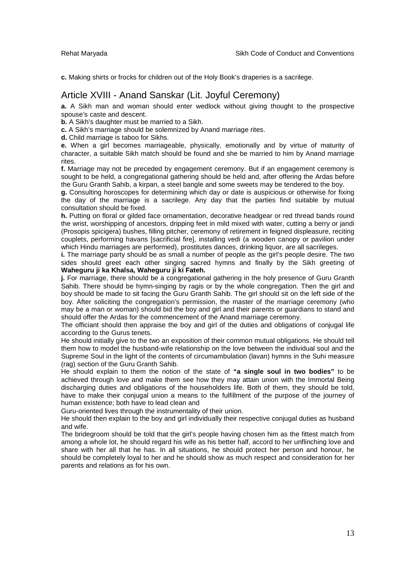**c.** Making shirts or frocks for children out of the Holy Book's draperies is a sacrilege.

#### Article XVIII - Anand Sanskar (Lit. Joyful Ceremony)

**a.** A Sikh man and woman should enter wedlock without giving thought to the prospective spouse's caste and descent.

**b.** A Sikh's daughter must be married to a Sikh.

**c.** A Sikh's marriage should be solemnized by Anand marriage rites.

**d.** Child marriage is taboo for Sikhs.

**e.** When a girl becomes marriageable, physically, emotionally and by virtue of maturity of character, a suitable Sikh match should be found and she be married to him by Anand marriage rites.

**f.** Marriage may not be preceded by engagement ceremony. But if an engagement ceremony is sought to be held, a congregational gathering should be held and, after offering the Ardas before the Guru Granth Sahib, a kirpan, a steel bangle and some sweets may be tendered to the boy.

**g.** Consulting horoscopes for determining which day or date is auspicious or otherwise for fixing the day of the marriage is a sacrilege. Any day that the parties find suitable by mutual consultation should be fixed.

**h.** Putting on floral or gilded face ornamentation, decorative headgear or red thread bands round the wrist, worshipping of ancestors, dripping feet in mild mixed with water, cutting a berry or jandi (Prosopis spicigera) bushes, filling pitcher, ceremony of retirement in feigned displeasure, reciting couplets, performing havans [sacrificial fire], installing vedi (a wooden canopy or pavilion under which Hindu marriages are performed), prostitutes dances, drinking liquor, are all sacrileges.

**i.** The marriage party should be as small a number of people as the girl's people desire. The two sides should greet each other singing sacred hymns and finally by the Sikh greeting of **Waheguru ji ka Khalsa, Waheguru ji ki Fateh.** 

**j.** For marriage, there should be a congregational gathering in the holy presence of Guru Granth Sahib. There should be hymn-singing by ragis or by the whole congregation. Then the girl and boy should be made to sit facing the Guru Granth Sahib. The girl should sit on the left side of the boy. After soliciting the congregation's permission, the master of the marriage ceremony (who may be a man or woman) should bid the boy and girl and their parents or guardians to stand and should offer the Ardas for the commencement of the Anand marriage ceremony.

The officiant should then appraise the boy and girl of the duties and obligations of conjugal life according to the Gurus tenets.

He should initially give to the two an exposition of their common mutual obligations. He should tell them how to model the husband-wife relationship on the love between the individual soul and the Supreme Soul in the light of the contents of circumambulation (lavan) hymns in the Suhi measure (rag) section of the Guru Granth Sahib.

He should explain to them the notion of the state of **"a single soul in two bodies"** to be achieved through love and make them see how they may attain union with the Immortal Being discharging duties and obligations of the householders life. Both of them, they should be told, have to make their conjugal union a means to the fulfillment of the purpose of the journey of human existence; both have to lead clean and

Guru-oriented lives through the instrumentality of their union.

He should then explain to the boy and girl individually their respective conjugal duties as husband and wife.

The bridegroom should be told that the girl's people having chosen him as the fittest match from among a whole lot, he should regard his wife as his better half, accord to her unflinching love and share with her all that he has. In all situations, he should protect her person and honour, he should be completely loyal to her and he should show as much respect and consideration for her parents and relations as for his own.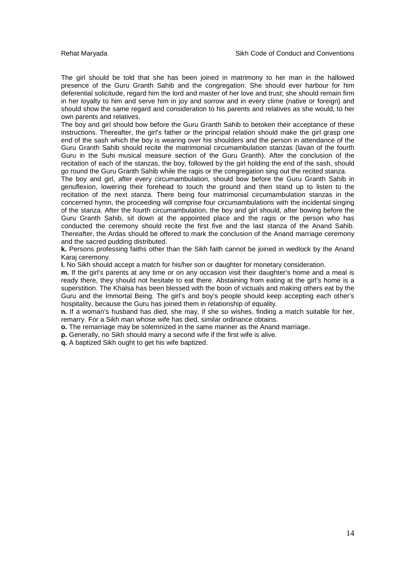The girl should be told that she has been joined in matrimony to her man in the hallowed presence of the Guru Granth Sahib and the congregation. She should ever harbour for him deferential solicitude, regard him the lord and master of her love and trust; she should remain firm in her loyalty to him and serve him in joy and sorrow and in every clime (native or foreign) and should show the same regard and consideration to his parents and relatives as she would, to her own parents and relatives.

The boy and girl should bow before the Guru Granth Sahib to betoken their acceptance of these instructions. Thereafter, the girl's father or the principal relation should make the girl grasp one end of the sash which the boy is wearing over his shoulders and the person in attendance of the Guru Granth Sahib should recite the matrimonial circumambulation stanzas (lavan of the fourth Guru in the Suhi musical measure section of the Guru Granth). After the conclusion of the recitation of each of the stanzas, the boy, followed by the girl holding the end of the sash, should go round the Guru Granth Sahib while the ragis or the congregation sing out the recited stanza.

The boy and girl, after every circumambulation, should bow before the Guru Granth Sahib in genuflexion, lowering their forehead to touch the ground and then stand up to listen to the recitation of the next stanza. There being four matrimonial circumambulation stanzas in the concerned hymn, the proceeding will comprise four circumambulations with the incidental singing of the stanza. After the fourth circumambulation, the boy and girl should, after bowing before the Guru Granth Sahib, sit down at the appointed place and the ragis or the person who has conducted the ceremony should recite the first five and the last stanza of the Anand Sahib. Thereafter, the Ardas should be offered to mark the conclusion of the Anand marriage ceremony and the sacred pudding distributed.

**k.** Persons professing faiths other than the Sikh faith cannot be joined in wedlock by the Anand Karaj ceremony.

**l.** No Sikh should accept a match for his/her son or daughter for monetary consideration.

**m.** If the girl's parents at any time or on any occasion visit their daughter's home and a meal is ready there, they should not hesitate to eat there. Abstaining from eating at the girl's home is a superstition. The Khalsa has been blessed with the boon of victuals and making others eat by the Guru and the Immortal Being. The girl's and boy's people should keep accepting each other's hospitality, because the Guru has joined them in relationship of equality.

**n.** If a woman's husband has died, she may, if she so wishes, finding a match suitable for her, remarry. For a Sikh man whose wife has died, similar ordinance obtains.

**o.** The remarriage may be solemnized in the same manner as the Anand marriage.

**p.** Generally, no Sikh should marry a second wife if the first wife is alive.

**q.** A baptized Sikh ought to get his wife baptized.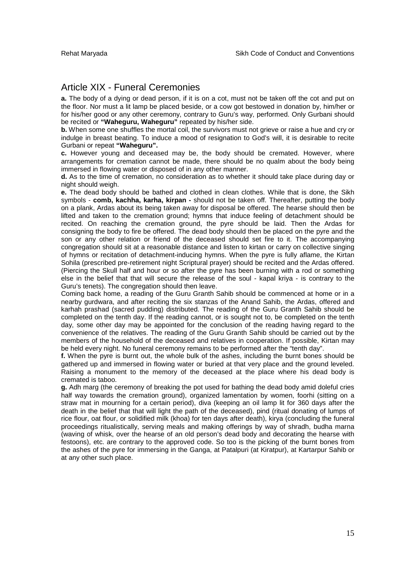#### Article XIX - Funeral Ceremonies

**a.** The body of a dying or dead person, if it is on a cot, must not be taken off the cot and put on the floor. Nor must a lit lamp be placed beside, or a cow got bestowed in donation by, him/her or for his/her good or any other ceremony, contrary to Guru's way, performed. Only Gurbani should be recited or **"Waheguru, Waheguru"** repeated by his/her side.

**b.** When some one shuffles the mortal coil, the survivors must not grieve or raise a hue and cry or indulge in breast beating. To induce a mood of resignation to God's will, it is desirable to recite Gurbani or repeat **"Waheguru".** 

**c.** However young and deceased may be, the body should be cremated. However, where arrangements for cremation cannot be made, there should be no qualm about the body being immersed in flowing water or disposed of in any other manner.

**d.** As to the time of cremation, no consideration as to whether it should take place during day or night should weigh.

**e.** The dead body should be bathed and clothed in clean clothes. While that is done, the Sikh symbols - **comb, kachha, karha, kirpan -** should not be taken off. Thereafter, putting the body on a plank, Ardas about its being taken away for disposal be offered. The hearse should then be lifted and taken to the cremation ground; hymns that induce feeling of detachment should be recited. On reaching the cremation ground, the pyre should be laid. Then the Ardas for consigning the body to fire be offered. The dead body should then be placed on the pyre and the son or any other relation or friend of the deceased should set fire to it. The accompanying congregation should sit at a reasonable distance and listen to kirtan or carry on collective singing of hymns or recitation of detachment-inducing hymns. When the pyre is fully aflame, the Kirtan Sohila (prescribed pre-retirement night Scriptural prayer) should be recited and the Ardas offered. (Piercing the Skull half and hour or so after the pyre has been burning with a rod or something else in the belief that that will secure the release of the soul - kapal kriya - is contrary to the Guru's tenets). The congregation should then leave.

Coming back home, a reading of the Guru Granth Sahib should be commenced at home or in a nearby gurdwara, and after reciting the six stanzas of the Anand Sahib, the Ardas, offered and karhah prashad (sacred pudding) distributed. The reading of the Guru Granth Sahib should be completed on the tenth day. If the reading cannot, or is sought not to, be completed on the tenth day, some other day may be appointed for the conclusion of the reading having regard to the convenience of the relatives. The reading of the Guru Granth Sahib should be carried out by the members of the household of the deceased and relatives in cooperation. If possible, Kirtan may be held every night. No funeral ceremony remains to be performed after the "tenth day".

**f.** When the pyre is burnt out, the whole bulk of the ashes, including the burnt bones should be gathered up and immersed in flowing water or buried at that very place and the ground leveled. Raising a monument to the memory of the deceased at the place where his dead body is cremated is taboo.

**g.** Adh marg (the ceremony of breaking the pot used for bathing the dead body amid doleful cries half way towards the cremation ground), organized lamentation by women, foorhi (sitting on a straw mat in mourning for a certain period), diva (keeping an oil lamp lit for 360 days after the death in the belief that that will light the path of the deceased), pind (ritual donating of lumps of rice flour, oat flour, or solidified milk (khoa) for ten days after death), kirya (concluding the funeral proceedings ritualistically, serving meals and making offerings by way of shradh, budha marna (waving of whisk, over the hearse of an old person's dead body and decorating the hearse with festoons), etc. are contrary to the approved code. So too is the picking of the burnt bones from the ashes of the pyre for immersing in the Ganga, at Patalpuri (at Kiratpur), at Kartarpur Sahib or at any other such place.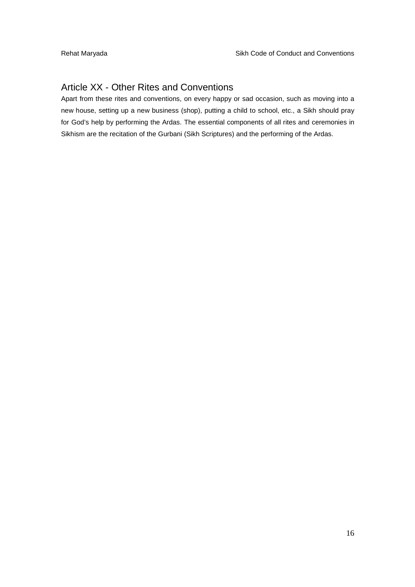#### Article XX - Other Rites and Conventions

Apart from these rites and conventions, on every happy or sad occasion, such as moving into a new house, setting up a new business (shop), putting a child to school, etc., a Sikh should pray for God's help by performing the Ardas. The essential components of all rites and ceremonies in Sikhism are the recitation of the Gurbani (Sikh Scriptures) and the performing of the Ardas.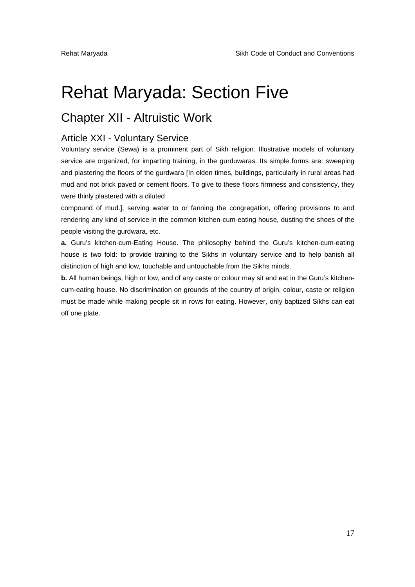# Rehat Maryada: Section Five

### Chapter XII - Altruistic Work

#### Article XXI - Voluntary Service

Voluntary service (Sewa) is a prominent part of Sikh religion. Illustrative models of voluntary service are organized, for imparting training, in the gurduwaras. Its simple forms are: sweeping and plastering the floors of the gurdwara [In olden times, buildings, particularly in rural areas had mud and not brick paved or cement floors. To give to these floors firmness and consistency, they were thinly plastered with a diluted

compound of mud.], serving water to or fanning the congregation, offering provisions to and rendering any kind of service in the common kitchen-cum-eating house, dusting the shoes of the people visiting the gurdwara, etc.

**a.** Guru's kitchen-cum-Eating House. The philosophy behind the Guru's kitchen-cum-eating house is two fold: to provide training to the Sikhs in voluntary service and to help banish all distinction of high and low, touchable and untouchable from the Sikhs minds.

**b.** All human beings, high or low, and of any caste or colour may sit and eat in the Guru's kitchencum-eating house. No discrimination on grounds of the country of origin, colour, caste or religion must be made while making people sit in rows for eating. However, only baptized Sikhs can eat off one plate.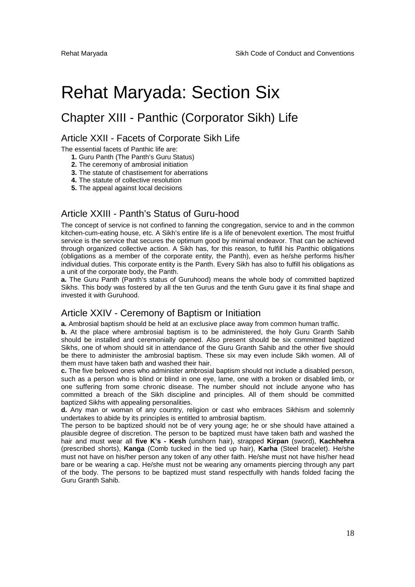# Rehat Maryada: Section Six

### Chapter XIII - Panthic (Corporator Sikh) Life

#### Article XXII - Facets of Corporate Sikh Life

The essential facets of Panthic life are:

- **1.** Guru Panth (The Panth's Guru Status)
- **2.** The ceremony of ambrosial initiation
- **3.** The statute of chastisement for aberrations
- **4.** The statute of collective resolution
- **5.** The appeal against local decisions

#### Article XXIII - Panth's Status of Guru-hood

The concept of service is not confined to fanning the congregation, service to and in the common kitchen-cum-eating house, etc. A Sikh's entire life is a life of benevolent exertion. The most fruitful service is the service that secures the optimum good by minimal endeavor. That can be achieved through organized collective action. A Sikh has, for this reason, to fulfill his Panthic obligations (obligations as a member of the corporate entity, the Panth), even as he/she performs his/her individual duties. This corporate entity is the Panth. Every Sikh has also to fulfill his obligations as a unit of the corporate body, the Panth.

**a.** The Guru Panth (Panth's status of Guruhood) means the whole body of committed baptized Sikhs. This body was fostered by all the ten Gurus and the tenth Guru gave it its final shape and invested it with Guruhood.

#### Article XXIV - Ceremony of Baptism or Initiation

**a.** Ambrosial baptism should be held at an exclusive place away from common human traffic. **b.** At the place where ambrosial baptism is to be administered, the holy Guru Granth Sahib should be installed and ceremonially opened. Also present should be six committed baptized Sikhs, one of whom should sit in attendance of the Guru Granth Sahib and the other five should be there to administer the ambrosial baptism. These six may even include Sikh women. All of them must have taken bath and washed their hair.

**c.** The five beloved ones who administer ambrosial baptism should not include a disabled person, such as a person who is blind or blind in one eye, lame, one with a broken or disabled limb, or one suffering from some chronic disease. The number should not include anyone who has committed a breach of the Sikh discipline and principles. All of them should be committed baptized Sikhs with appealing personalities.

**d.** Any man or woman of any country, religion or cast who embraces Sikhism and solemnly undertakes to abide by its principles is entitled to ambrosial baptism.

The person to be baptized should not be of very young age; he or she should have attained a plausible degree of discretion. The person to be baptized must have taken bath and washed the hair and must wear all **five K's - Kesh** (unshorn hair), strapped **Kirpan** (sword), **Kachhehra**  (prescribed shorts), **Kanga** (Comb tucked in the tied up hair), **Karha** (Steel bracelet). He/she must not have on his/her person any token of any other faith. He/she must not have his/her head bare or be wearing a cap. He/she must not be wearing any ornaments piercing through any part of the body. The persons to be baptized must stand respectfully with hands folded facing the Guru Granth Sahib.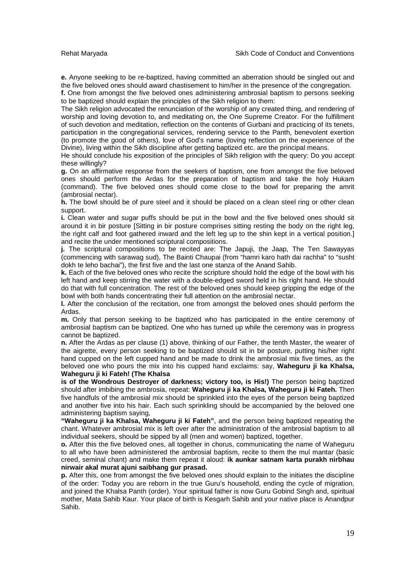**e.** Anyone seeking to be re-baptized, having committed an aberration should be singled out and the five beloved ones should award chastisement to him/her in the presence of the congregation. **f.** One from amongst the five beloved ones administering ambrosial baptism to persons seeking to be baptized should explain the principles of the Sikh religion to them:

The Sikh religion advocated the renunciation of the worship of any created thing, and rendering of worship and loving devotion to, and meditating on, the One Supreme Creator. For the fulfillment of such devotion and meditation, reflection on the contents of Gurbani and practicing of its tenets, participation in the congregational services, rendering service to the Panth, benevolent exertion (to promote the good of others), love of God's name (loving reflection on the experience of the Divine), living within the Sikh discipline after getting baptized etc. are the principal means.

He should conclude his exposition of the principles of Sikh religion with the query: Do you accept these willingly?

**g.** On an affirmative response from the seekers of baptism, one from amongst the five beloved ones should perform the Ardas for the preparation of baptism and take the holy Hukam (command). The five beloved ones should come close to the bowl for preparing the amrit (ambrosial nectar).

**h.** The bowl should be of pure steel and it should be placed on a clean steel ring or other clean support.

**i.** Clean water and sugar puffs should be put in the bowl and the five beloved ones should sit around it in bir posture [Sitting in bir posture comprises sitting resting the body on the right leg, the right calf and foot gathered inward and the left leg up to the shin kept in a vertical position.] and recite the under mentioned scriptural compositions.

**j.** The scriptural compositions to be recited are: The Japuji, the Jaap, The Ten Sawayyas (commencing with sarawag sud), The Bainti Chaupai (from "hamri karo hath dai rachha" to "susht dokh te leho bachai"), the first five and the last one stanza of the Anand Sahib.

**k.** Each of the five beloved ones who recite the scripture should hold the edge of the bowl with his left hand and keep stirring the water with a double-edged sword held in his right hand. He should do that with full concentration. The rest of the beloved ones should keep gripping the edge of the bowl with both hands concentrating their full attention on the ambrosial nectar.

**l.** After the conclusion of the recitation, one from amongst the beloved ones should perform the Ardas.

**m.** Only that person seeking to be baptized who has participated in the entire ceremony of ambrosial baptism can be baptized. One who has turned up while the ceremony was in progress cannot be baptized.

**n.** After the Ardas as per clause (1) above, thinking of our Father, the tenth Master, the wearer of the aigrette, every person seeking to be baptized should sit in bir posture, putting his/her right hand cupped on the left cupped hand and be made to drink the ambrosial mix five times, as the beloved one who pours the mix into his cupped hand exclaims: say, **Waheguru ji ka Khalsa, Waheguru ji ki Fateh! (The Khalsa** 

**is of the Wondrous Destroyer of darkness; victory too, is His!)** The person being baptized should after imbibing the ambrosia, repeat: **Waheguru ji ka Khalsa, Waheguru ji ki Fateh.** Then five handfuls of the ambrosial mix should be sprinkled into the eyes of the person being baptized and another five into his hair. Each such sprinkling should be accompanied by the beloved one administering baptism saying,

**"Waheguru ji ka Khalsa, Waheguru ji ki Fateh"**, and the person being baptized repeating the chant. Whatever ambrosial mix is left over after the administration of the ambrosial baptism to all individual seekers, should be sipped by all (men and women) baptized, together.

**o.** After this the five beloved ones, all together in chorus, communicating the name of Waheguru to all who have been administered the ambrosial baptism, recite to them the mul mantar (basic creed, seminal chant) and make them repeat it aloud: **ik aunkar satnam karta purakh nirbhau nirwair akal murat ajuni saibhang gur prasad.** 

**p.** After this, one from amongst the five beloved ones should explain to the initiates the discipline of the order: Today you are reborn in the true Guru's household, ending the cycle of migration, and joined the Khalsa Panth (order). Your spiritual father is now Guru Gobind Singh and, spiritual mother, Mata Sahib Kaur. Your place of birth is Kesgarh Sahib and your native place is Anandpur Sahib.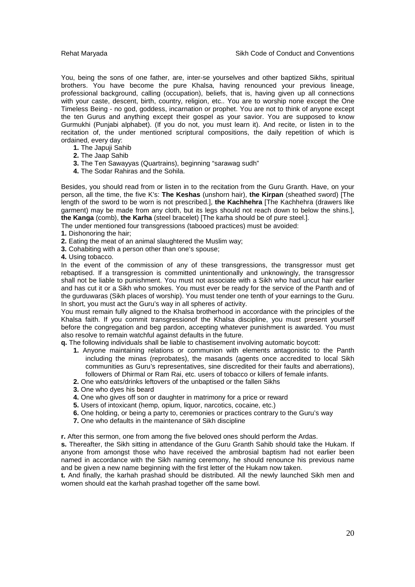You, being the sons of one father, are, inter-se yourselves and other baptized Sikhs, spiritual brothers. You have become the pure Khalsa, having renounced your previous lineage, professional background, calling (occupation), beliefs, that is, having given up all connections with your caste, descent, birth, country, religion, etc.. You are to worship none except the One Timeless Being - no god, goddess, incarnation or prophet. You are not to think of anyone except the ten Gurus and anything except their gospel as your savior. You are supposed to know Gurmukhi (Punjabi alphabet). (If you do not, you must learn it). And recite, or listen in to the recitation of, the under mentioned scriptural compositions, the daily repetition of which is ordained, every day:

- **1.** The Japuji Sahib
- **2.** The Jaap Sahib
- **3.** The Ten Sawayyas (Quartrains), beginning "sarawag sudh"
- **4.** The Sodar Rahiras and the Sohila.

Besides, you should read from or listen in to the recitation from the Guru Granth. Have, on your person, all the time, the five K's: **The Keshas** (unshorn hair), **the Kirpan** (sheathed sword) [The length of the sword to be worn is not prescribed.], **the Kachhehra** [The Kachhehra (drawers like garment) may be made from any cloth, but its legs should not reach down to below the shins.], **the Kanga** (comb), **the Karha** (steel bracelet) [The karha should be of pure steel.].

The under mentioned four transgressions (tabooed practices) must be avoided:

- **1.** Dishonoring the hair;
- **2.** Eating the meat of an animal slaughtered the Muslim way;
- **3.** Cohabiting with a person other than one's spouse;

**4.** Using tobacco.

In the event of the commission of any of these transgressions, the transgressor must get rebaptised. If a transgression is committed unintentionally and unknowingly, the transgressor shall not be liable to punishment. You must not associate with a Sikh who had uncut hair earlier and has cut it or a Sikh who smokes. You must ever be ready for the service of the Panth and of the gurduwaras (Sikh places of worship). You must tender one tenth of your earnings to the Guru. In short, you must act the Guru's way in all spheres of activity.

You must remain fully aligned to the Khalsa brotherhood in accordance with the principles of the Khalsa faith. If you commit transgressionof the Khalsa discipline, you must present yourself before the congregation and beg pardon, accepting whatever punishment is awarded. You must also resolve to remain watchful against defaults in the future.

**q.** The following individuals shall be liable to chastisement involving automatic boycott:

- **1.** Anyone maintaining relations or communion with elements antagonistic to the Panth including the minas (reprobates), the masands (agents once accredited to local Sikh communities as Guru's representatives, sine discredited for their faults and aberrations), followers of Dhirmal or Ram Rai, etc. users of tobacco or killers of female infants.
- **2.** One who eats/drinks leftovers of the unbaptised or the fallen Sikhs
- **3.** One who dyes his beard
- **4.** One who gives off son or daughter in matrimony for a price or reward
- **5.** Users of intoxicant (hemp, opium, liquor, narcotics, cocaine, etc.)
- **6.** One holding, or being a party to, ceremonies or practices contrary to the Guru's way
- **7.** One who defaults in the maintenance of Sikh discipline

**r.** After this sermon, one from among the five beloved ones should perform the Ardas.

**s.** Thereafter, the Sikh sitting in attendance of the Guru Granth Sahib should take the Hukam. If anyone from amongst those who have received the ambrosial baptism had not earlier been named in accordance with the Sikh naming ceremony, he should renounce his previous name and be given a new name beginning with the first letter of the Hukam now taken.

**t.** And finally, the karhah prashad should be distributed. All the newly launched Sikh men and women should eat the karhah prashad together off the same bowl.